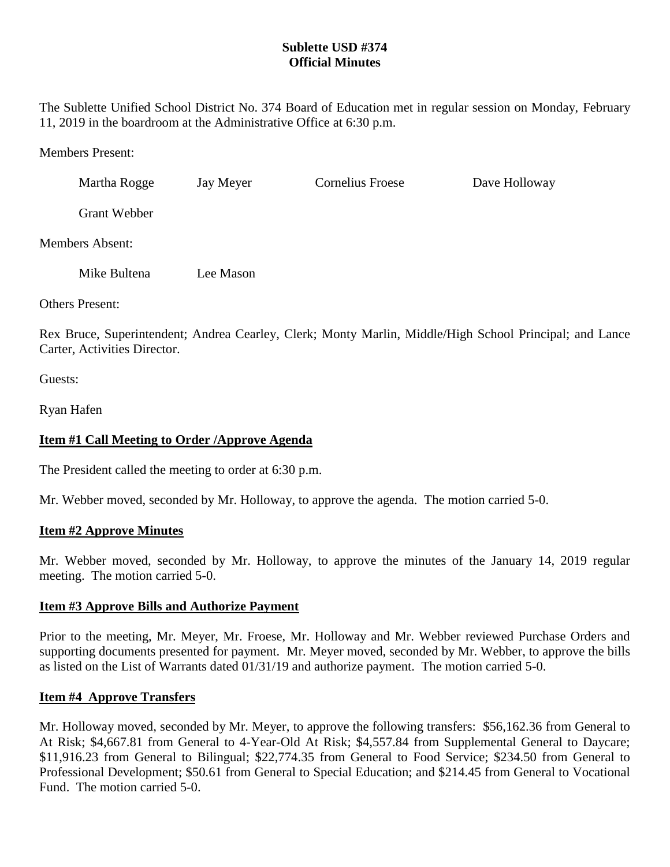## **Sublette USD #374 Official Minutes**

The Sublette Unified School District No. 374 Board of Education met in regular session on Monday, February 11, 2019 in the boardroom at the Administrative Office at 6:30 p.m.

Members Present:

| Martha Rogge        | Jay Meyer | Cornelius Froese | Dave Holloway |
|---------------------|-----------|------------------|---------------|
| <b>Grant Webber</b> |           |                  |               |

Members Absent:

| Mike Bultena | Lee Mason |
|--------------|-----------|
|--------------|-----------|

Others Present:

Rex Bruce, Superintendent; Andrea Cearley, Clerk; Monty Marlin, Middle/High School Principal; and Lance Carter, Activities Director.

Guests:

Ryan Hafen

# **Item #1 Call Meeting to Order /Approve Agenda**

The President called the meeting to order at 6:30 p.m.

Mr. Webber moved, seconded by Mr. Holloway, to approve the agenda. The motion carried 5-0.

## **Item #2 Approve Minutes**

Mr. Webber moved, seconded by Mr. Holloway, to approve the minutes of the January 14, 2019 regular meeting. The motion carried 5-0.

## **Item #3 Approve Bills and Authorize Payment**

Prior to the meeting, Mr. Meyer, Mr. Froese, Mr. Holloway and Mr. Webber reviewed Purchase Orders and supporting documents presented for payment. Mr. Meyer moved, seconded by Mr. Webber, to approve the bills as listed on the List of Warrants dated 01/31/19 and authorize payment. The motion carried 5-0.

## **Item #4 Approve Transfers**

Mr. Holloway moved, seconded by Mr. Meyer, to approve the following transfers: \$56,162.36 from General to At Risk; \$4,667.81 from General to 4-Year-Old At Risk; \$4,557.84 from Supplemental General to Daycare; \$11,916.23 from General to Bilingual; \$22,774.35 from General to Food Service; \$234.50 from General to Professional Development; \$50.61 from General to Special Education; and \$214.45 from General to Vocational Fund. The motion carried 5-0.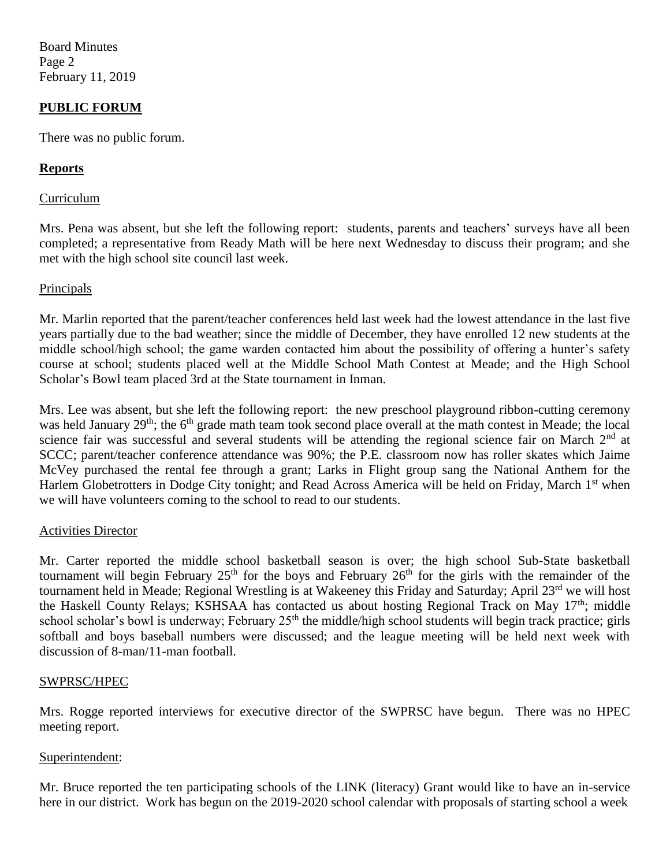Board Minutes Page 2 February 11, 2019

## **PUBLIC FORUM**

There was no public forum.

#### **Reports**

#### Curriculum

Mrs. Pena was absent, but she left the following report: students, parents and teachers' surveys have all been completed; a representative from Ready Math will be here next Wednesday to discuss their program; and she met with the high school site council last week.

#### **Principals**

Mr. Marlin reported that the parent/teacher conferences held last week had the lowest attendance in the last five years partially due to the bad weather; since the middle of December, they have enrolled 12 new students at the middle school/high school; the game warden contacted him about the possibility of offering a hunter's safety course at school; students placed well at the Middle School Math Contest at Meade; and the High School Scholar's Bowl team placed 3rd at the State tournament in Inman.

Mrs. Lee was absent, but she left the following report: the new preschool playground ribbon-cutting ceremony was held January 29<sup>th</sup>; the 6<sup>th</sup> grade math team took second place overall at the math contest in Meade; the local science fair was successful and several students will be attending the regional science fair on March 2<sup>nd</sup> at SCCC; parent/teacher conference attendance was 90%; the P.E. classroom now has roller skates which Jaime McVey purchased the rental fee through a grant; Larks in Flight group sang the National Anthem for the Harlem Globetrotters in Dodge City tonight; and Read Across America will be held on Friday, March 1<sup>st</sup> when we will have volunteers coming to the school to read to our students.

#### Activities Director

Mr. Carter reported the middle school basketball season is over; the high school Sub-State basketball tournament will begin February  $25<sup>th</sup>$  for the boys and February  $26<sup>th</sup>$  for the girls with the remainder of the tournament held in Meade; Regional Wrestling is at Wakeeney this Friday and Saturday; April 23<sup>rd</sup> we will host the Haskell County Relays; KSHSAA has contacted us about hosting Regional Track on May 17<sup>th</sup>; middle school scholar's bowl is underway; February  $25<sup>th</sup>$  the middle/high school students will begin track practice; girls softball and boys baseball numbers were discussed; and the league meeting will be held next week with discussion of 8-man/11-man football.

#### SWPRSC/HPEC

Mrs. Rogge reported interviews for executive director of the SWPRSC have begun. There was no HPEC meeting report.

#### Superintendent:

Mr. Bruce reported the ten participating schools of the LINK (literacy) Grant would like to have an in-service here in our district. Work has begun on the 2019-2020 school calendar with proposals of starting school a week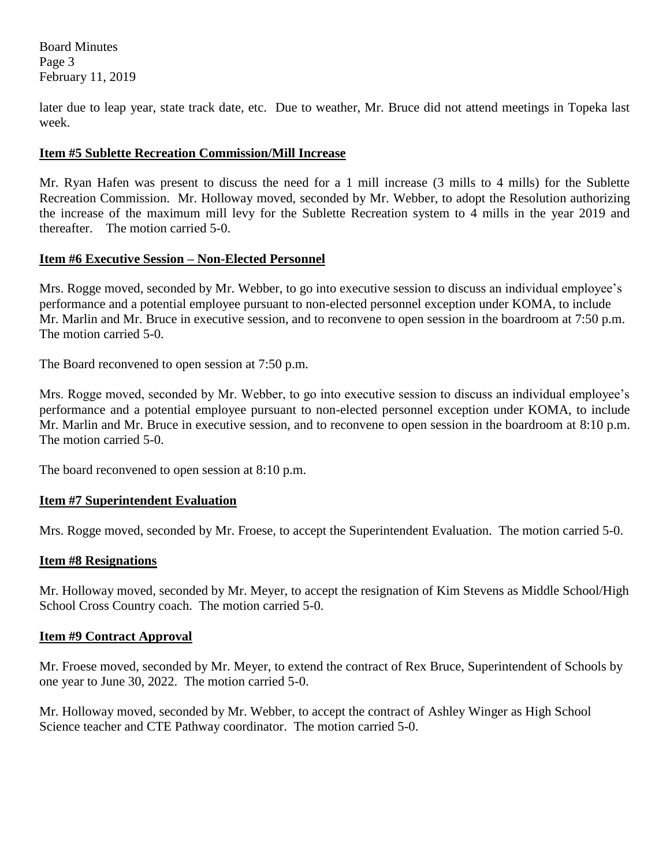Board Minutes Page 3 February 11, 2019

later due to leap year, state track date, etc. Due to weather, Mr. Bruce did not attend meetings in Topeka last week.

## **Item #5 Sublette Recreation Commission/Mill Increase**

Mr. Ryan Hafen was present to discuss the need for a 1 mill increase (3 mills to 4 mills) for the Sublette Recreation Commission. Mr. Holloway moved, seconded by Mr. Webber, to adopt the Resolution authorizing the increase of the maximum mill levy for the Sublette Recreation system to 4 mills in the year 2019 and thereafter. The motion carried 5-0.

## **Item #6 Executive Session – Non-Elected Personnel**

Mrs. Rogge moved, seconded by Mr. Webber, to go into executive session to discuss an individual employee's performance and a potential employee pursuant to non-elected personnel exception under KOMA, to include Mr. Marlin and Mr. Bruce in executive session, and to reconvene to open session in the boardroom at 7:50 p.m. The motion carried 5-0.

The Board reconvened to open session at 7:50 p.m.

Mrs. Rogge moved, seconded by Mr. Webber, to go into executive session to discuss an individual employee's performance and a potential employee pursuant to non-elected personnel exception under KOMA, to include Mr. Marlin and Mr. Bruce in executive session, and to reconvene to open session in the boardroom at 8:10 p.m. The motion carried 5-0.

The board reconvened to open session at 8:10 p.m.

#### **Item #7 Superintendent Evaluation**

Mrs. Rogge moved, seconded by Mr. Froese, to accept the Superintendent Evaluation. The motion carried 5-0.

#### **Item #8 Resignations**

Mr. Holloway moved, seconded by Mr. Meyer, to accept the resignation of Kim Stevens as Middle School/High School Cross Country coach. The motion carried 5-0.

#### **Item #9 Contract Approval**

Mr. Froese moved, seconded by Mr. Meyer, to extend the contract of Rex Bruce, Superintendent of Schools by one year to June 30, 2022. The motion carried 5-0.

Mr. Holloway moved, seconded by Mr. Webber, to accept the contract of Ashley Winger as High School Science teacher and CTE Pathway coordinator. The motion carried 5-0.